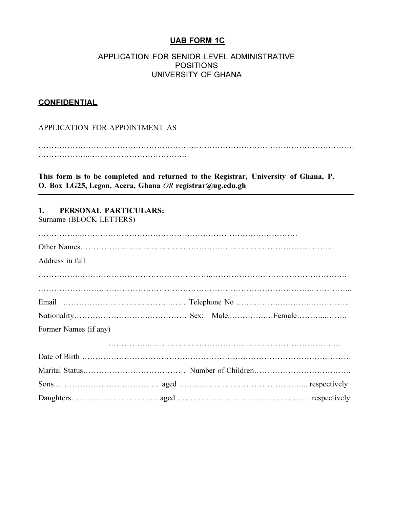# UAB FORM 1C

#### APPLICATION FOR SENIOR LEVEL ADMINISTRATIVE POSITIONS UNIVERSITY OF GHANA

#### **CONFIDENTIAL**

APPLICATION FOR APPOINTMENT AS

………………………………………………………………………………………………………… ………………..……………………………….

This form is to be completed and returned to the Registrar, University of Ghana, P. O. Box LG25, Legon, Accra, Ghana OR registrar@ug.edu.gh

### 1. PERSONAL PARTICULARS:

Surname (BLOCK LETTERS)

| Address in full       |  |
|-----------------------|--|
|                       |  |
|                       |  |
|                       |  |
|                       |  |
| Former Names (if any) |  |
|                       |  |
|                       |  |
|                       |  |
|                       |  |
|                       |  |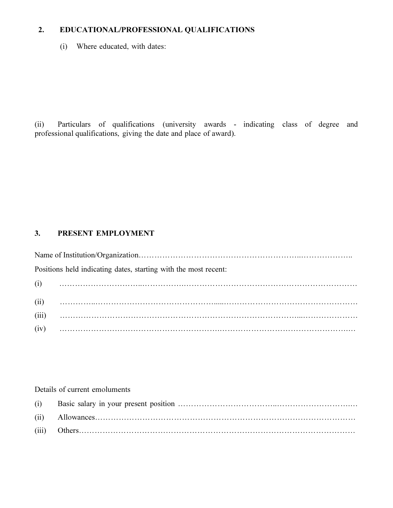# 2. EDUCATIONAL/PROFESSIONAL QUALIFICATIONS

(i) Where educated, with dates:

(ii) Particulars of qualifications (university awards - indicating class of degree and professional qualifications, giving the date and place of award).

# 3. PRESENT EMPLOYMENT

Name of Institution/Organization……………………………………………………..……………….. Positions held indicating dates, starting with the most recent: (i) …………………………..…………….………………………………………………………… (ii) …………..……………………………………….....…………………………………………… (iii) ………………………………………………………………………………...………………… (iv) …………………………………………………….………………………………………….…

#### Details of current emoluments

| (iii) |  |
|-------|--|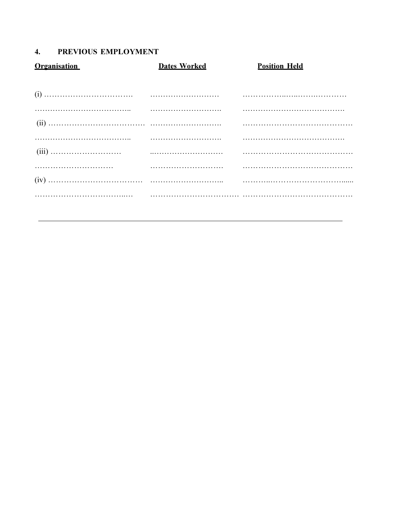# 4. PREVIOUS EMPLOYMENT

| Organisation | <b>Dates Worked</b> | <b>Position Held</b> |
|--------------|---------------------|----------------------|
|              |                     |                      |
|              |                     |                      |
|              |                     |                      |
|              |                     |                      |
|              |                     |                      |
|              |                     |                      |
|              |                     |                      |
|              |                     |                      |
|              |                     |                      |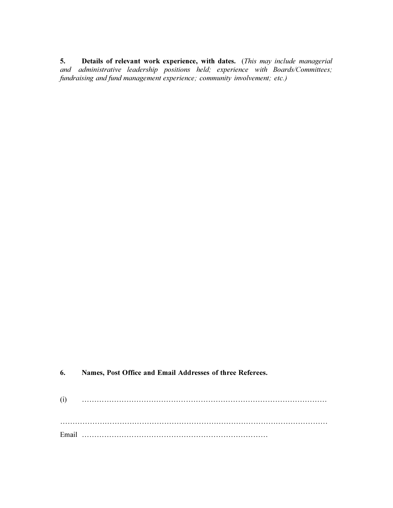5. Details of relevant work experience, with dates. (This may include managerial and administrative leadership positions held; experience with Boards/Committees; fundraising and fund management experience; community involvement; etc.)

6. Names, Post Office and Email Addresses of three Referees.

(i) ……………………………………………………………………………………… ……………………………………………………………………………………………… Email …………………………………………………………………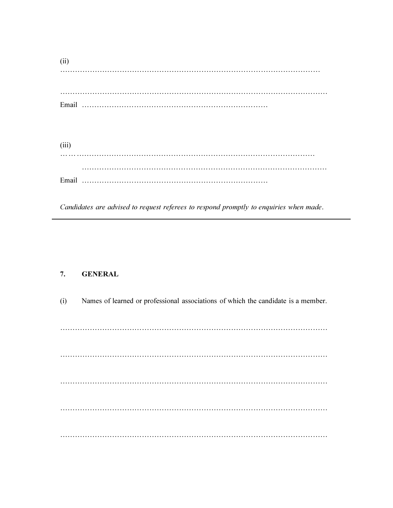(ii) …………………………………………………………………………………………… ……………………………………………………………………………………………… Email …………………………………………………………………

(iii) … ……………………………………………………………………………………… ……………………………………………………………………………………… Email …………………………………………………………………

Candidates are advised to request referees to respond promptly to enquiries when made.

#### 7. GENERAL

(i) Names of learned or professional associations of which the candidate is a member. ……………………………………………………………………………………………… ……………………………………………………………………………………………… ……………………………………………………………………………………………… ……………………………………………………………………………………………… ………………………………………………………………………………………………